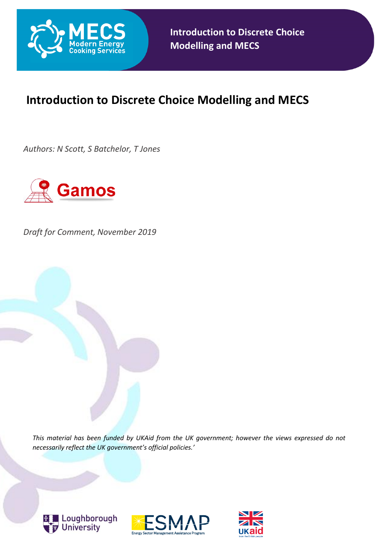

## **Introduction to Discrete Choice Modelling and MECS**

*Authors: N Scott, S Batchelor, T Jones*



*Draft for Comment, November 2019*

*This material has been funded by UKAid from the UK government; however the views expressed do not necessarily reflect the UK government's official policies.'*





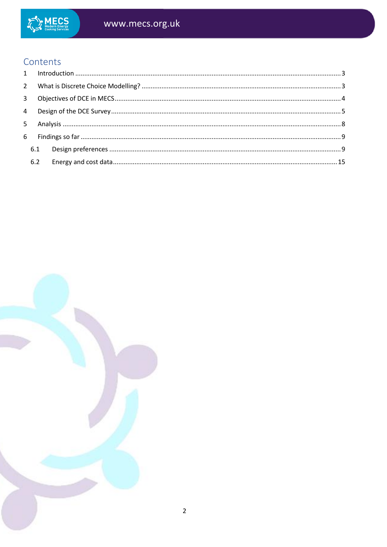

#### Contents  $\sim 10^{-1}$

| 6.2 |  |
|-----|--|
|     |  |

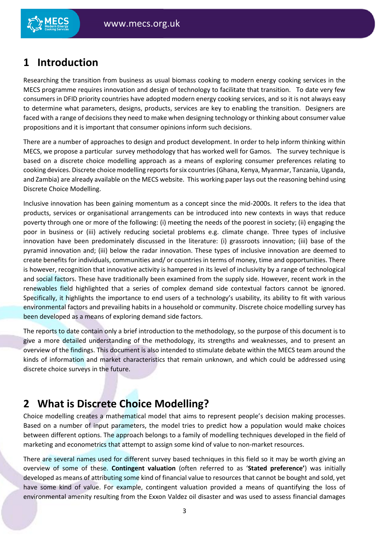### <span id="page-2-0"></span>**1 Introduction**

Researching the transition from business as usual biomass cooking to modern energy cooking services in the MECS programme requires innovation and design of technology to facilitate that transition. To date very few consumers in DFID priority countries have adopted modern energy cooking services, and so it is not always easy to determine what parameters, designs, products, services are key to enabling the transition. Designers are faced with a range of decisions they need to make when designing technology or thinking about consumer value propositions and it is important that consumer opinions inform such decisions.

There are a number of approaches to design and product development. In order to help inform thinking within MECS, we propose a particular survey methodology that has worked well for Gamos. The survey technique is based on a discrete choice modelling approach as a means of exploring consumer preferences relating to cooking devices. Discrete choice modelling reports for six countries (Ghana, Kenya, Myanmar, Tanzania, Uganda, and Zambia) are already available on the MECS website. This working paper lays out the reasoning behind using Discrete Choice Modelling.

Inclusive innovation has been gaining momentum as a concept since the mid-2000s. It refers to the idea that products, services or organisational arrangements can be introduced into new contexts in ways that reduce poverty through one or more of the following: (i) meeting the needs of the poorest in society; (ii) engaging the poor in business or (iii) actively reducing societal problems e.g. climate change. Three types of inclusive innovation have been predominately discussed in the literature: (i) grassroots innovation; (iii) base of the pyramid innovation and; (iii) below the radar innovation. These types of inclusive innovation are deemed to create benefits for individuals, communities and/ or countries in terms of money, time and opportunities. There is however, recognition that innovative activity is hampered in its level of inclusivity by a range of technological and social factors. These have traditionally been examined from the supply side. However, recent work in the renewables field highlighted that a series of complex demand side contextual factors cannot be ignored. Specifically, it highlights the importance to end users of a technology's usability, its ability to fit with various environmental factors and prevailing habits in a household or community. Discrete choice modelling survey has been developed as a means of exploring demand side factors.

The reports to date contain only a brief introduction to the methodology, so the purpose of this document is to give a more detailed understanding of the methodology, its strengths and weaknesses, and to present an overview of the findings. This document is also intended to stimulate debate within the MECS team around the kinds of information and market characteristics that remain unknown, and which could be addressed using discrete choice surveys in the future.

## <span id="page-2-1"></span>**2 What is Discrete Choice Modelling?**

Choice modelling creates a mathematical model that aims to represent people's decision making processes. Based on a number of input parameters, the model tries to predict how a population would make choices between different options. The approach belongs to a family of modelling techniques developed in the field of marketing and econometrics that attempt to assign some kind of value to non-market resources.

There are several names used for different survey based techniques in this field so it may be worth giving an overview of some of these. **Contingent valuation** (often referred to as '**Stated preference'**) was initially developed as means of attributing some kind of financial value to resources that cannot be bought and sold, yet have some kind of value. For example, contingent valuation provided a means of quantifying the loss of environmental amenity resulting from the Exxon Valdez oil disaster and was used to assess financial damages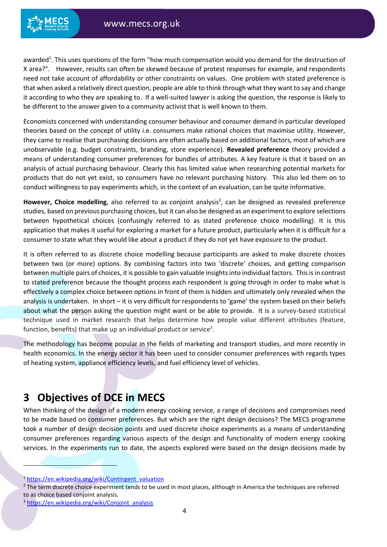awarded<sup>1</sup>. This uses questions of the form "how much compensation would you demand for the destruction of X area?". However, results can often be skewed because of protest responses for example, and respondents need not take account of affordability or other constraints on values. One problem with stated preference is that when asked a relatively direct question, people are able to think through what they want to say and change it according to who they are speaking to. If a well-suited lawyer is asking the question, the response is likely to be different to the answer given to a community activist that is well known to them.

Economists concerned with understanding consumer behaviour and consumer demand in particular developed theories based on the concept of utility i.e. consumers make rational choices that maximise utility. However, they came to realise that purchasing decisions are often actually based on additional factors, most of which are unobservable (e.g. budget constraints, branding, store experience). **Revealed preference** theory provided a means of understanding consumer preferences for bundles of attributes. A key feature is that it based on an analysis of actual purchasing behaviour. Clearly this has limited value when researching potential markets for products that do not yet exist, so consumers have no relevant purchasing history. This also led them on to conduct willingness to pay experiments which, in the context of an evaluation, can be quite informative.

However, Choice modelling, also referred to as conjoint analysis<sup>2</sup>, can be designed as revealed preference studies, based on previous purchasing choices, but it can also be designed as an experiment to explore selections between hypothetical choices (confusingly referred to as stated preference choice modelling). It is this application that makes it useful for exploring a market for a future product, particularly when it is difficult for a consumer to state what they would like about a product if they do not yet have exposure to the product.

It is often referred to as discrete choice modelling because participants are asked to make discrete choices between two (or more) options. By combining factors into two 'discrete' choices, and getting comparison between multiple pairs of choices, it is possible to gain valuable insights into individual factors. This is in contrast to stated preference because the thought process each respondent is going through in order to make what is effectively a complex choice between options in front of them is hidden and ultimately only revealed when the analysis is undertaken. In short – it is very difficult for respondents to 'game' the system based on their beliefs about what the person asking the question might want or be able to provide. It is a survey-based statistical technique used in market research that helps determine how people value different attributes (feature, function, benefits) that make up an individual product or service<sup>3</sup>.

The methodology has become popular in the fields of marketing and transport studies, and more recently in health economics. In the energy sector it has been used to consider consumer preferences with regards types of heating system, appliance efficiency levels, and fuel efficiency level of vehicles.

### <span id="page-3-0"></span>**3 Objectives of DCE in MECS**

When thinking of the design of a modern energy cooking service, a range of decisions and compromises need to be made based on consumer preferences. But which are the right design decisions? The MECS programme took a number of design decision points and used discrete choice experiments as a means of understanding consumer preferences regarding various aspects of the design and functionality of modern energy cooking services. In the experiments run to date, the aspects explored were based on the design decisions made by

1

<sup>&</sup>lt;sup>1</sup> [https://en.wikipedia.org/wiki/Contingent\\_valuation](https://en.wikipedia.org/wiki/Contingent_valuation)

<sup>&</sup>lt;sup>2</sup> The term discrete choice experiment tends to be used in most places, although in America the techniques are referred to as choice based conjoint analysis.

<sup>3</sup> [https://en.wikipedia.org/wiki/Conjoint\\_analysis](https://en.wikipedia.org/wiki/Conjoint_analysis)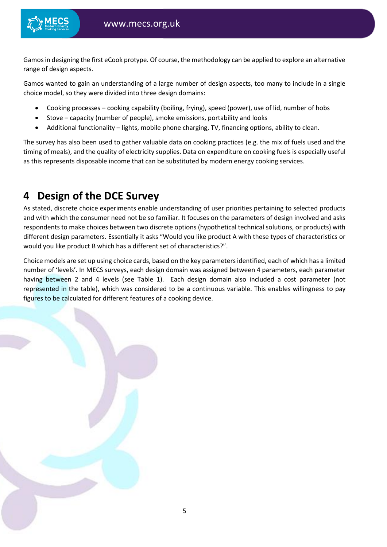

Gamos in designing the first eCook protype. Of course, the methodology can be applied to explore an alternative range of design aspects.

Gamos wanted to gain an understanding of a large number of design aspects, too many to include in a single choice model, so they were divided into three design domains:

- Cooking processes cooking capability (boiling, frying), speed (power), use of lid, number of hobs
- Stove capacity (number of people), smoke emissions, portability and looks
- Additional functionality lights, mobile phone charging, TV, financing options, ability to clean.

The survey has also been used to gather valuable data on cooking practices (e.g. the mix of fuels used and the timing of meals), and the quality of electricity supplies. Data on expenditure on cooking fuels is especially useful as this represents disposable income that can be substituted by modern energy cooking services.

### <span id="page-4-0"></span>**4 Design of the DCE Survey**

As stated, discrete choice experiments enable understanding of user priorities pertaining to selected products and with which the consumer need not be so familiar. It focuses on the parameters of design involved and asks respondents to make choices between two discrete options (hypothetical technical solutions, or products) with different design parameters. Essentially it asks "Would you like product A with these types of characteristics or would you like product B which has a different set of characteristics?".

Choice models are set up using choice cards, based on the key parameters identified, each of which has a limited number of 'levels'. In MECS surveys, each design domain was assigned between 4 parameters, each parameter having between 2 and 4 levels (see [Table 1\)](#page-5-0). Each design domain also included a cost parameter (not represented in the table), which was considered to be a continuous variable. This enables willingness to pay figures to be calculated for different features of a cooking device.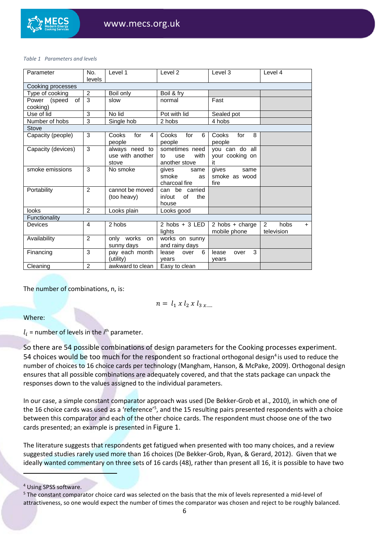#### <span id="page-5-0"></span>*Table 1 Parameters and levels*

| Parameter                      | No.<br>levels  | Level 1                                     | Level 2                                              | Level 3                                 | Level 4                                     |
|--------------------------------|----------------|---------------------------------------------|------------------------------------------------------|-----------------------------------------|---------------------------------------------|
| Cooking processes              |                |                                             |                                                      |                                         |                                             |
| Type of cooking                | 2              | Boil only                                   | Boil & fry                                           |                                         |                                             |
| Power (speed<br>of<br>cooking) | 3              | slow                                        | normal                                               | Fast                                    |                                             |
| $\overline{Use}$ of lid        | 3              | No lid                                      | Pot with lid                                         | Sealed pot                              |                                             |
| Number of hobs                 | 3              | Single hob                                  | 2 hobs                                               | 4 hobs                                  |                                             |
| Stove                          |                |                                             |                                                      |                                         |                                             |
| Capacity (people)              | 3              | for<br>Cooks<br>$\overline{4}$<br>people    | for<br>Cooks<br>6<br>people                          | for<br>8<br>Cooks<br>people             |                                             |
| Capacity (devices)             | 3              | always need to<br>use with another<br>stove | sometimes need<br>with<br>use<br>to<br>another stove | you can do all<br>your cooking on<br>it |                                             |
| smoke emissions                | 3              | No smoke                                    | qives<br>same<br>smoke<br><b>as</b><br>charcoal fire | gives<br>same<br>smoke as wood<br>fire  |                                             |
| Portability                    | 2              | cannot be moved<br>(too heavy)              | can be carried<br>in/out<br>of<br>the<br>house       |                                         |                                             |
| <b>looks</b>                   | $\mathcal{P}$  | Looks plain                                 | Looks good                                           |                                         |                                             |
| Functionality                  |                |                                             |                                                      |                                         |                                             |
| Devices                        | 4              | 2 hobs                                      | $2$ hobs + $3$ LED<br>lights                         | 2 hobs $+$ charge<br>mobile phone       | $\overline{2}$<br>hobs<br>$+$<br>television |
| Availability                   | 2              | only works on<br>sunny days                 | works on sunny<br>and rainy days                     |                                         |                                             |
| Financing                      | 3              | pay each month<br>(utility)                 | 6<br>lease<br>over<br>vears                          | 3<br>lease<br>over<br>vears             |                                             |
| Cleaning                       | $\overline{2}$ | awkward to clean                            | Easy to clean                                        |                                         |                                             |

The number of combinations, n, is:

$$
n = l_1 \times l_2 \times l_3 \times \ldots
$$

#### Where:

 $l_i$  = number of levels in the  $i<sup>th</sup>$  parameter.

So there are 54 possible combinations of design parameters for the Cooking processes experiment. 54 choices would be too much for the respondent so fractional orthogonal design<sup>4</sup> is used to reduce the number of choices to 16 choice cards per technology (Mangham, Hanson, & McPake, 2009). Orthogonal design ensures that all possible combinations are adequately covered, and that the stats package can unpack the responses down to the values assigned to the individual parameters.

In our case, a simple constant comparator approach was used (De Bekker-Grob et al., 2010), in which one of the 16 choice cards was used as a 'reference'<sup>5</sup>, and the 15 resulting pairs presented respondents with a choice between this comparator and each of the other choice cards. The respondent must choose one of the two cards presented; an example is presented in [Figure 1](#page-6-0).

The literature suggests that respondents get fatigued when presented with too many choices, and a review suggested studies rarely used more than 16 choices (De Bekker-Grob, Ryan, & Gerard, 2012). Given that we ideally wanted commentary on three sets of 16 cards (48), rather than present all 16, it is possible to have two

1

<sup>4</sup> Using SPSS software.

<sup>5</sup> The constant comparator choice card was selected on the basis that the mix of levels represented a mid-level of attractiveness, so one would expect the number of times the comparator was chosen and reject to be roughly balanced.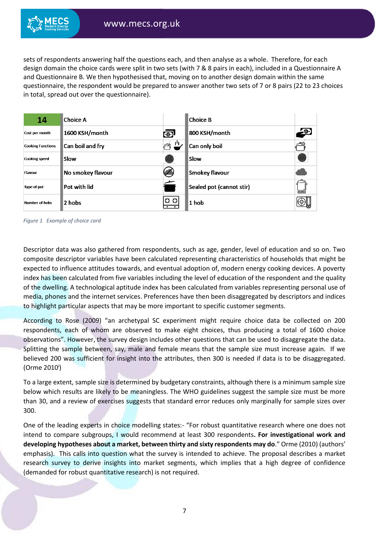

sets of respondents answering half the questions each, and then analyse as a whole. Therefore, for each design domain the choice cards were split in two sets (with 7 & 8 pairs in each), included in a Questionnaire A and Questionnaire B. We then hypothesised that, moving on to another design domain within the same questionnaire, the respondent would be prepared to answer another two sets of 7 or 8 pairs (22 to 23 choices in total, spread out over the questionnaire).

| 14                       | Choice A          |                  | Choice B                 |                      |
|--------------------------|-------------------|------------------|--------------------------|----------------------|
| Cost per month           | 1600 KSH/month    | ெ                | 800 KSH/month            | $\overline{\cdot 9}$ |
| <b>Cooking Functions</b> | Can boil and fry  | ıч<br><u>خصر</u> | Can only boil            | فتمصب                |
| <b>Cooking speed</b>     | Slow              |                  | Slow                     |                      |
| Flavour                  | No smokey flavour |                  | Smokey flavour           |                      |
| Type of pot              | Pot with lid      |                  | Sealed pot (cannot stir) | 000000               |
| <b>Number of hobs</b>    | 2 hobs            | o o              | $1$ hob                  |                      |

<span id="page-6-0"></span>*Figure 1 Example of choice card*

Descriptor data was also gathered from respondents, such as age, gender, level of education and so on. Two composite descriptor variables have been calculated representing characteristics of households that might be expected to influence attitudes towards, and eventual adoption of, modern energy cooking devices. A poverty index has been calculated from five variables including the level of education of the respondent and the quality of the dwelling. A technological aptitude index has been calculated from variables representing personal use of media, phones and the internet services. Preferences have then been disaggregated by descriptors and indices to highlight particular aspects that may be more important to specific customer segments.

According to Rose (2009) "an archetypal SC experiment might require choice data be collected on 200 respondents, each of whom are observed to make eight choices, thus producing a total of 1600 choice observations". However, the survey design includes other questions that can be used to disaggregate the data. Splitting the sample between, say, male and female means that the sample size must increase again. If we believed 200 was sufficient for insight into the attributes, then 300 is needed if data is to be disaggregated. (Orme 2010<sup>i</sup>)

To a large extent, sample size is determined by budgetary constraints, although there is a minimum sample size below which results are likely to be meaningless. The WHO guidelines suggest the sample size must be more than 30, and a review of exercises suggests that standard error reduces only marginally for sample sizes over 300.

One of the leading experts in choice modelling states:- "For robust quantitative research where one does not intend to compare subgroups, I would recommend at least 300 respondents**. For investigational work and developing hypotheses about a market, between thirty and sixty respondents may do**." Orme (2010) (authors' emphasis). This calls into question what the survey is intended to achieve. The proposal describes a market research survey to derive insights into market segments, which implies that a high degree of confidence (demanded for robust quantitative research) is not required.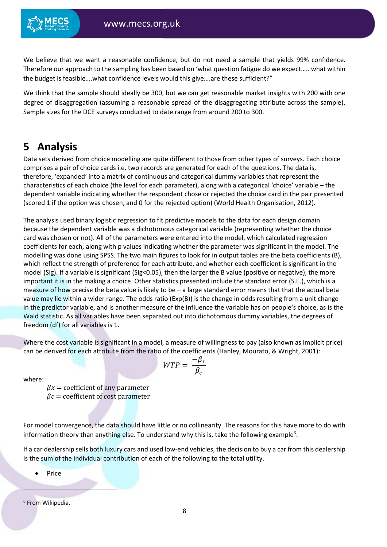We believe that we want a reasonable confidence, but do not need a sample that yields 99% confidence. Therefore our approach to the sampling has been based on 'what question fatigue do we expect….. what within the budget is feasible….what confidence levels would this give….are these sufficient?"

We think that the sample should ideally be 300, but we can get reasonable market insights with 200 with one degree of disaggregation (assuming a reasonable spread of the disaggregating attribute across the sample). Sample sizes for the DCE surveys conducted to date range from around 200 to 300.

### <span id="page-7-0"></span>**5 Analysis**

Data sets derived from choice modelling are quite different to those from other types of surveys. Each choice comprises a pair of choice cards i.e. two records are generated for each of the questions. The data is, therefore, 'expanded' into a matrix of continuous and categorical dummy variables that represent the characteristics of each choice (the level for each parameter), along with a categorical 'choice' variable – the dependent variable indicating whether the respondent chose or rejected the choice card in the pair presented (scored 1 if the option was chosen, and 0 for the rejected option) (World Health Organisation, 2012).

The analysis used binary logistic regression to fit predictive models to the data for each design domain because the dependent variable was a dichotomous categorical variable (representing whether the choice card was chosen or not). All of the parameters were entered into the model, which calculated regression coefficients for each, along with p values indicating whether the parameter was significant in the model. The modelling was done using SPSS. The two main figures to look for in output tables are the beta coefficients (B), which reflect the strength of preference for each attribute, and whether each coefficient is significant in the model (Sig). If a variable is significant (Sig<0.05), then the larger the B value (positive or negative), the more important it is in the making a choice. Other statistics presented include the standard error (S.E.), which is a measure of how precise the beta value is likely to be – a large standard error means that that the actual beta value may lie within a wider range. The odds ratio (Exp(B)) is the change in odds resulting from a unit change in the predictor variable, and is another measure of the influence the variable has on people's choice, as is the Wald statistic. As all variables have been separated out into dichotomous dummy variables, the degrees of freedom (df) for all variables is 1.

Where the cost variable is significant in a model, a measure of willingness to pay (also known as implicit price) can be derived for each attribute from the ratio of the coefficients (Hanley, Mourato, & Wright, 2001):

 $WTP = \frac{-\beta_x}{a}$ 

 $\beta_c$ 

where:

 $\beta x =$  coefficient of any parameter  $\beta c$  = coefficient of cost parameter

For model convergence, the data should have little or no collinearity. The reasons for this have more to do with information theory than anything else. To understand why this is, take the following example<sup>6</sup>:

If a car dealership sells both luxury cars and used low-end vehicles, the decision to buy a car from this dealership is the sum of the individual contribution of each of the following to the total utility.

• Price

6 From Wikipedia.

<u>.</u>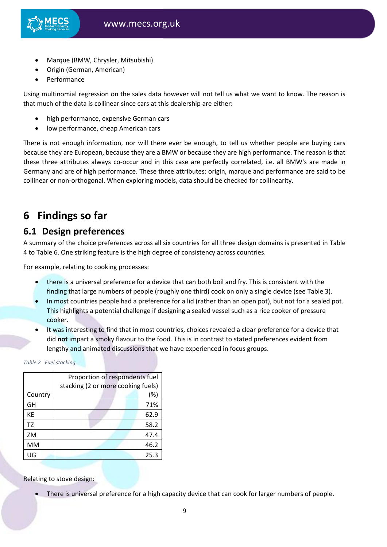

- Marque (BMW, Chrysler, Mitsubishi)
- Origin (German, American)
- Performance

Using multinomial regression on the sales data however will not tell us what we want to know. The reason is that much of the data is collinear since cars at this dealership are either:

- high performance, expensive German cars
- low performance, cheap American cars

There is not enough information, nor will there ever be enough, to tell us whether people are buying cars because they are European, because they are a BMW or because they are high performance. The reason is that these three attributes always co-occur and in this case are perfectly correlated, i.e. all BMW's are made in Germany and are of high performance. These three attributes: origin, marque and performance are said to be collinear or non-orthogonal. When exploring models, data should be checked for collinearity.

### <span id="page-8-0"></span>**6 Findings so far**

### <span id="page-8-1"></span>**6.1 Design preferences**

A summary of the choice preferences across all six countries for all three design domains is presented in [Table](#page-11-0)  [4](#page-11-0) to [Table 6.](#page-13-0) One striking feature is the high degree of consistency across countries.

For example, relating to cooking processes:

- there is a universal preference for a device that can both boil and fry. This is consistent with the finding that large numbers of people (roughly one third) cook on only a single device (se[e Table 3\)](#page-9-0).
- In most countries people had a preference for a lid (rather than an open pot), but not for a sealed pot. This highlights a potential challenge if designing a sealed vessel such as a rice cooker of pressure cooker.
- It was interesting to find that in most countries, choices revealed a clear preference for a device that did **not** impart a smoky flavour to the food. This is in contrast to stated preferences evident from lengthy and animated discussions that we have experienced in focus groups.

*Table 2 Fuel stacking*

|         | Proportion of respondents fuel     |      |
|---------|------------------------------------|------|
|         | stacking (2 or more cooking fuels) |      |
| Country |                                    | (%)  |
| GH      |                                    | 71%  |
| KE      |                                    | 62.9 |
| TZ      |                                    | 58.2 |
| ZM      |                                    | 47.4 |
| MM      |                                    | 46.2 |
| UG      |                                    | 25.3 |
|         |                                    |      |

Relating to stove design:

There is universal preference for a high capacity device that can cook for larger numbers of people.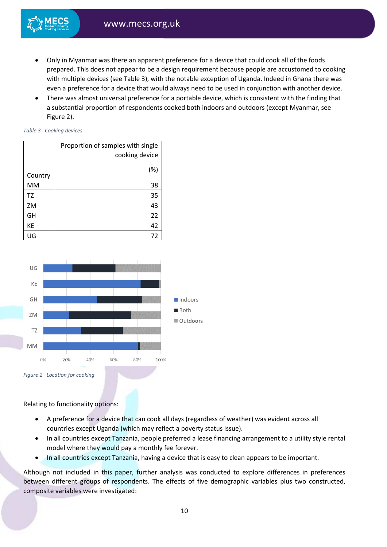- Only in Myanmar was there an apparent preference for a device that could cook all of the foods prepared. This does not appear to be a design requirement because people are accustomed to cooking with multiple devices (se[e Table 3\)](#page-9-0), with the notable exception of Uganda. Indeed in Ghana there was even a preference for a device that would always need to be used in conjunction with another device.
- There was almost universal preference for a portable device, which is consistent with the finding that a substantial proportion of respondents cooked both indoors and outdoors (except Myanmar, see [Figure 2\)](#page-9-1).

#### <span id="page-9-0"></span>*Table 3 Cooking devices*

|         | Proportion of samples with single |
|---------|-----------------------------------|
|         | cooking device                    |
|         | (%)                               |
| Country |                                   |
| MM      | 38                                |
| TZ      | 35                                |
| ZM      | 43                                |
| GH      | 22                                |
| KE      | 42                                |
| มด      | 72                                |



<span id="page-9-1"></span>Relating to functionality options:

- A preference for a device that can cook all days (regardless of weather) was evident across all countries except Uganda (which may reflect a poverty status issue).
- In all countries except Tanzania, people preferred a lease financing arrangement to a utility style rental model where they would pay a monthly fee forever.
- In all countries except Tanzania, having a device that is easy to clean appears to be important.

Although not included in this paper, further analysis was conducted to explore differences in preferences between different groups of respondents. The effects of five demographic variables plus two constructed, composite variables were investigated: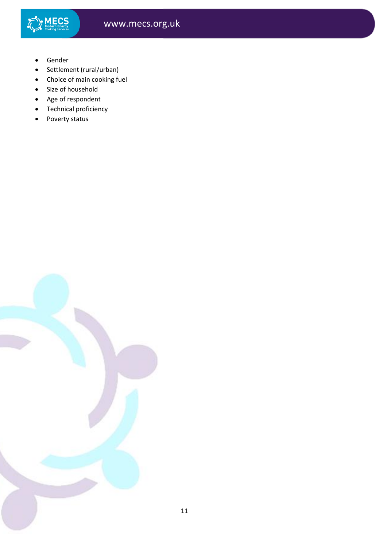

- Gender
- Settlement (rural/urban)
- Choice of main cooking fuel
- Size of household
- Age of respondent
- Technical proficiency
- Poverty status

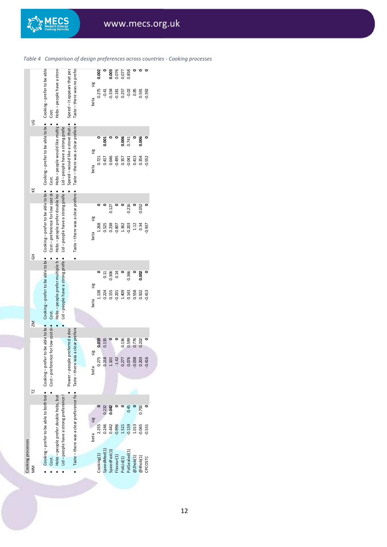

<span id="page-11-0"></span>*Table 4 Comparison of design preferences across countries - Cooking processes*

MECS

www.mecs.org.uk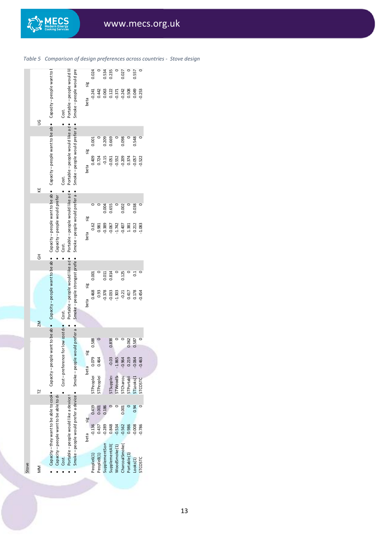|       | Table 5<br>S<br>KE                                  | Comparison of design preferences across cou<br>Capacity-people want to be abl • Capacity-people want to<br>Capacity-people want to be able | Capacity-people would prefer            | Cost.<br>Cost.<br>Cost.                             | Portable - people would lik<br>Portable-people would like a d.<br>Portable - people would like a d. | Smoke-people would pre<br>Smoke-people would prefer a co-<br>Smoke-people would prefer a             | sig<br>beta<br>sig<br>beta<br>sig<br>beta | 0.024<br>$-0.241$<br>0.001<br>0.409<br>0.62                                      | 0.442<br>0.724<br>0.981                                    | 0.534<br>0.063<br>0.209<br>$-0.15$<br>0.004<br>$-0.389$ | 0.235<br>0.122<br>0.669<br>$-0.051$<br>0.655<br>$-0.067$                       | $-0.371$<br>$-0.552$<br>$-1.742$                             | ww.mecs<br>0.027<br>$-0.242$<br>0.098<br>$-0.209$<br>0.002<br>$-0.407$                 | 0.508<br>0.374<br>1.381                                       | 0.557<br>0.049<br>0.548<br>$-0.057$<br>0.038<br>0.212                                  | 0.253<br>0.522<br>c<br>1.083                                       |
|-------|-----------------------------------------------------|--------------------------------------------------------------------------------------------------------------------------------------------|-----------------------------------------|-----------------------------------------------------|-----------------------------------------------------------------------------------------------------|------------------------------------------------------------------------------------------------------|-------------------------------------------|----------------------------------------------------------------------------------|------------------------------------------------------------|---------------------------------------------------------|--------------------------------------------------------------------------------|--------------------------------------------------------------|----------------------------------------------------------------------------------------|---------------------------------------------------------------|----------------------------------------------------------------------------------------|--------------------------------------------------------------------|
| Stove | $\overline{5}$<br><b>NZ</b><br>$\overline{1}$<br>MM | Capacity - they want to be able to cook • Capacity - people want to be abl • Capacity - people want to be abl •                            | Capacity - people want to be able to do | ۰<br>Cost-preference for low cost de Cost.<br>Cost. | Portable - people would like a d.<br>Portable - people would like a device t                        | Smoke-people would prefer a device • Smoke-people would prefer a c • Smoke-people strongest prefer • | sig<br>beta<br>sig<br>beta<br>sig<br>beta | 0.001<br>0.468<br>0.588<br>0.079<br>STPeoplet<br>0.419<br>$-0.136$<br>People6(1) | 0.93<br>0.464<br>STPeoplet<br>0.001<br>0.437<br>People8(1) | 0.011<br>0.378<br>0.186<br>$-0.289$<br>SupplementSom    | 0.814<br>$-0.033$<br>0.838<br>$-0.03$<br>STSuppler<br>0.848<br>SupplementAll(1 | $-1.303$<br>$-1.865$<br>STWoodSr<br>$-0.534$<br>WoodSmoke(1) | 0.125<br>$-0.21$<br>$-0.964$<br><b>STCharcoa</b><br>0.001<br>$-0.562$<br>CharcoalSmoke | 0.417<br>0.062<br>0.219<br>STPortable<br>0.986<br>Portable(1) | $\overline{0}$<br>0.178<br>0.587<br>0.064<br>STLooks(1<br>0.94<br>$-0.008$<br>Looks(1) | $-0.454$<br>$-0.463$<br>STCOSTC<br>0<br>$-0.786$<br><b>STCOSTC</b> |

*Table 5 Comparison of design preferences across countries - Stove design*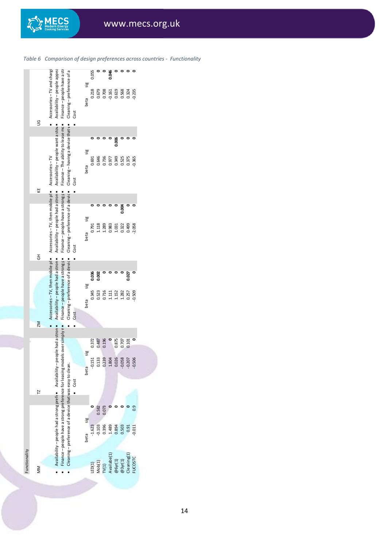

| www.mec<br>Comparison of design preferences across c<br>Table 6<br>Availability - people appea<br>Accessories-TV and chargi<br>Finance - people have a str<br>Cleaning-preference of a<br>0.046<br>۰<br>۰<br>۰<br>0.055<br>sig<br>0.218<br>0.679<br>0.619<br>0.708<br>0.568<br>$-0.235$<br>$-0.161$<br>0.324<br>beta<br>Cost<br>S<br>Availability - people want a stov<br>Cleaning - having a device that vo<br>Finance-The ability to lease mc.<br>$\mathbf{\Omega}$<br>0.006<br>sig<br>Accessories-TV<br>0.646<br>0.736<br>0.349<br>$-0.365$<br>0.525<br>0.375<br>0.691<br>0.977<br>beta<br>Cost<br>Accessories - TV, then mobile pt • Accessories - TV, then mobile pt •<br>Cleaning-preference of a device<br>KE<br>Availability - people had a stron.<br>Finance - people have a strong po<br>۰<br>0.004<br>sig<br>1.289<br>1.118<br>0.983<br>0.322<br>0.499<br>$-2.058$<br>1.031<br>0.791<br>beta<br>Cost<br>$\overline{5}$<br>Availability-people had a stron<br>Cleaning - preference of a devic .<br>Finance-people have a strong po<br>0.036<br>0.002<br>0.027<br>sig<br>0.345<br>0.523<br>0.716<br>$-0.509$<br>1.152<br>1.282<br>0.257<br>1.111<br>beta<br>Cost<br>ZM<br>0.196<br>$\overline{\phantom{0}}$<br>0.875<br>0.707<br>0.372<br>0.487<br>0.101<br>sig<br>0.133<br>0.239<br>0.000 0.000<br>0.000 0.207<br>$-0.506$<br>$-0.151$<br>beta<br>Cost<br>$\overline{a}$ | Functionality |                                                                               |  |  |
|-------------------------------------------------------------------------------------------------------------------------------------------------------------------------------------------------------------------------------------------------------------------------------------------------------------------------------------------------------------------------------------------------------------------------------------------------------------------------------------------------------------------------------------------------------------------------------------------------------------------------------------------------------------------------------------------------------------------------------------------------------------------------------------------------------------------------------------------------------------------------------------------------------------------------------------------------------------------------------------------------------------------------------------------------------------------------------------------------------------------------------------------------------------------------------------------------------------------------------------------------------------------------------------------------------------------------------------------------------------------------------------|---------------|-------------------------------------------------------------------------------|--|--|
| $\frac{9}{2}$<br>0.582<br>0.073<br>sig                                                                                                                                                                                                                                                                                                                                                                                                                                                                                                                                                                                                                                                                                                                                                                                                                                                                                                                                                                                                                                                                                                                                                                                                                                                                                                                                              |               |                                                                               |  |  |
| $-0.103$<br>0.396<br>1.489<br>0.894<br>0.503<br>$-1.623$<br>$-0.011$<br>0.91                                                                                                                                                                                                                                                                                                                                                                                                                                                                                                                                                                                                                                                                                                                                                                                                                                                                                                                                                                                                                                                                                                                                                                                                                                                                                                        |               |                                                                               |  |  |
| Finance - people have a strong preference for leasing models over simply n.<br>beta                                                                                                                                                                                                                                                                                                                                                                                                                                                                                                                                                                                                                                                                                                                                                                                                                                                                                                                                                                                                                                                                                                                                                                                                                                                                                                 |               | Availability - people had a strong prefeo Availability - people had a stron . |  |  |
| Cleaning - preference of a device that was easy to clean.                                                                                                                                                                                                                                                                                                                                                                                                                                                                                                                                                                                                                                                                                                                                                                                                                                                                                                                                                                                                                                                                                                                                                                                                                                                                                                                           |               |                                                                               |  |  |
|                                                                                                                                                                                                                                                                                                                                                                                                                                                                                                                                                                                                                                                                                                                                                                                                                                                                                                                                                                                                                                                                                                                                                                                                                                                                                                                                                                                     |               |                                                                               |  |  |
|                                                                                                                                                                                                                                                                                                                                                                                                                                                                                                                                                                                                                                                                                                                                                                                                                                                                                                                                                                                                                                                                                                                                                                                                                                                                                                                                                                                     |               |                                                                               |  |  |
| LED(1)                                                                                                                                                                                                                                                                                                                                                                                                                                                                                                                                                                                                                                                                                                                                                                                                                                                                                                                                                                                                                                                                                                                                                                                                                                                                                                                                                                              |               |                                                                               |  |  |
|                                                                                                                                                                                                                                                                                                                                                                                                                                                                                                                                                                                                                                                                                                                                                                                                                                                                                                                                                                                                                                                                                                                                                                                                                                                                                                                                                                                     |               |                                                                               |  |  |
| Availabe(1)<br>Cleaning(1)<br><b>FUCOSTC</b><br>@3yr(1)<br>@6yr(1)<br>TV(1)                                                                                                                                                                                                                                                                                                                                                                                                                                                                                                                                                                                                                                                                                                                                                                                                                                                                                                                                                                                                                                                                                                                                                                                                                                                                                                         | Mob(1)        |                                                                               |  |  |
|                                                                                                                                                                                                                                                                                                                                                                                                                                                                                                                                                                                                                                                                                                                                                                                                                                                                                                                                                                                                                                                                                                                                                                                                                                                                                                                                                                                     |               |                                                                               |  |  |
|                                                                                                                                                                                                                                                                                                                                                                                                                                                                                                                                                                                                                                                                                                                                                                                                                                                                                                                                                                                                                                                                                                                                                                                                                                                                                                                                                                                     |               |                                                                               |  |  |
|                                                                                                                                                                                                                                                                                                                                                                                                                                                                                                                                                                                                                                                                                                                                                                                                                                                                                                                                                                                                                                                                                                                                                                                                                                                                                                                                                                                     |               |                                                                               |  |  |
|                                                                                                                                                                                                                                                                                                                                                                                                                                                                                                                                                                                                                                                                                                                                                                                                                                                                                                                                                                                                                                                                                                                                                                                                                                                                                                                                                                                     |               |                                                                               |  |  |
|                                                                                                                                                                                                                                                                                                                                                                                                                                                                                                                                                                                                                                                                                                                                                                                                                                                                                                                                                                                                                                                                                                                                                                                                                                                                                                                                                                                     |               |                                                                               |  |  |
|                                                                                                                                                                                                                                                                                                                                                                                                                                                                                                                                                                                                                                                                                                                                                                                                                                                                                                                                                                                                                                                                                                                                                                                                                                                                                                                                                                                     |               |                                                                               |  |  |

<span id="page-13-0"></span>*Table 6 Comparison of design preferences across countries - Functionality*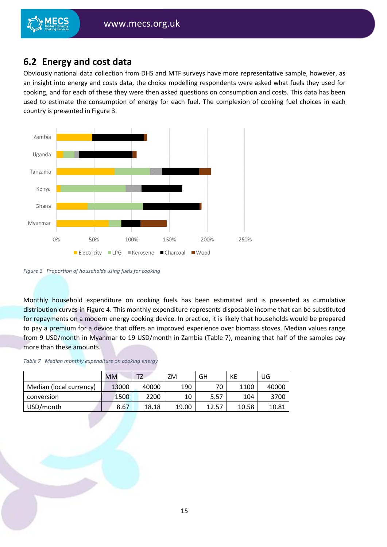# <span id="page-14-0"></span>**6.2 Energy and cost data**

Obviously national data collection from DHS and MTF surveys have more representative sample, however, as an insight into energy and costs data, the choice modelling respondents were asked what fuels they used for cooking, and for each of these they were then asked questions on consumption and costs. This data has been used to estimate the consumption of energy for each fuel. The complexion of cooking fuel choices in each country is presented in [Figure 3.](#page-14-1)



<span id="page-14-1"></span>*Figure 3 Proportion of households using fuels for cooking* 

Monthly household expenditure on cooking fuels has been estimated and is presented as cumulative distribution curves in [Figure 4.](#page-15-0) This monthly expenditure represents disposable income that can be substituted for repayments on a modern energy cooking device. In practice, it is likely that households would be prepared to pay a premium for a device that offers an improved experience over biomass stoves. Median values range from 9 USD/month in Myanmar to 19 USD/month in Zambia [\(Table 7\)](#page-14-2), meaning that half of the samples pay more than these amounts.

<span id="page-14-2"></span>

|  |  |  | Table 7 Median monthly expenditure on cooking energy |  |  |  |
|--|--|--|------------------------------------------------------|--|--|--|
|--|--|--|------------------------------------------------------|--|--|--|

|                         | MМ    | T <sub>7</sub> | ΖM    | GH    | КE    | UG    |
|-------------------------|-------|----------------|-------|-------|-------|-------|
| Median (local currency) | 13000 | 40000          | 190   | 70    | 1100  | 40000 |
| conversion              | 1500  | 2200           | 10    | 5.57  | 104   | 3700  |
| USD/month               | 8.67  | 18.18          | 19.00 | 12.57 | 10.58 | 10.81 |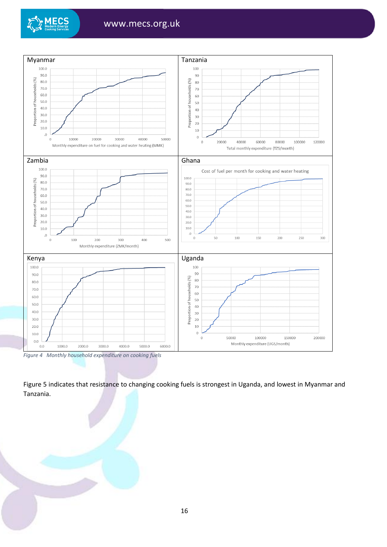



<span id="page-15-0"></span>*Figure 4 Monthly household expenditure on cooking fuels*

[Figure 5](#page-16-0) indicates that resistance to changing cooking fuels is strongest in Uganda, and lowest in Myanmar and Tanzania.